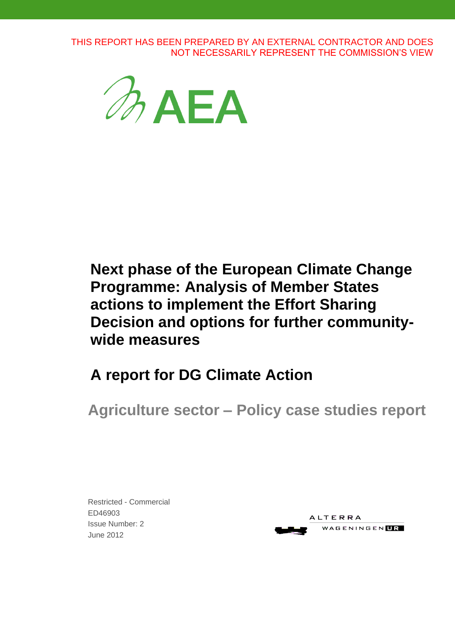THIS REPORT HAS BEEN PREPARED BY AN EXTERNAL CONTRACTOR AND DOES NOT NECESSARILY REPRESENT THE COMMISSION'S VIEW



**Next phase of the European Climate Change Programme: Analysis of Member States actions to implement the Effort Sharing Decision and options for further communitywide measures**

**A report for DG Climate Action**

**Agriculture sector – Policy case studies report**

 June 2012Restricted - Commercial ED46903 Issue Number: 2

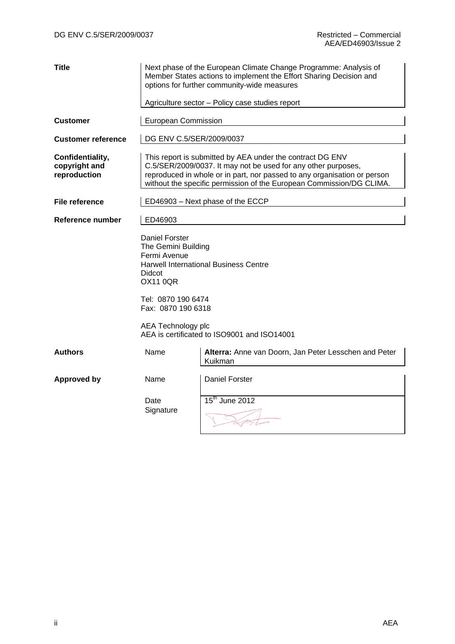| <b>Title</b>                                      |                                                                                                  | Next phase of the European Climate Change Programme: Analysis of<br>Member States actions to implement the Effort Sharing Decision and<br>options for further community-wide measures<br>Agriculture sector - Policy case studies report                                       |  |  |  |
|---------------------------------------------------|--------------------------------------------------------------------------------------------------|--------------------------------------------------------------------------------------------------------------------------------------------------------------------------------------------------------------------------------------------------------------------------------|--|--|--|
|                                                   |                                                                                                  |                                                                                                                                                                                                                                                                                |  |  |  |
| <b>Customer</b>                                   | European Commission                                                                              |                                                                                                                                                                                                                                                                                |  |  |  |
| <b>Customer reference</b>                         | DG ENV C.5/SER/2009/0037                                                                         |                                                                                                                                                                                                                                                                                |  |  |  |
| Confidentiality,<br>copyright and<br>reproduction |                                                                                                  | This report is submitted by AEA under the contract DG ENV<br>C.5/SER/2009/0037. It may not be used for any other purposes,<br>reproduced in whole or in part, nor passed to any organisation or person<br>without the specific permission of the European Commission/DG CLIMA. |  |  |  |
| <b>File reference</b>                             |                                                                                                  | ED46903 - Next phase of the ECCP                                                                                                                                                                                                                                               |  |  |  |
| Reference number                                  | ED46903                                                                                          |                                                                                                                                                                                                                                                                                |  |  |  |
|                                                   | <b>Daniel Forster</b><br>The Gemini Building<br>Fermi Avenue<br><b>Didcot</b><br><b>OX11 0QR</b> | <b>Harwell International Business Centre</b>                                                                                                                                                                                                                                   |  |  |  |
|                                                   | Tel: 0870 190 6474<br>Fax: 0870 190 6318                                                         |                                                                                                                                                                                                                                                                                |  |  |  |
|                                                   | AEA Technology plc                                                                               | AEA is certificated to ISO9001 and ISO14001                                                                                                                                                                                                                                    |  |  |  |
| <b>Authors</b>                                    | Name                                                                                             | Alterra: Anne van Doorn, Jan Peter Lesschen and Peter<br>Kuikman                                                                                                                                                                                                               |  |  |  |
| <b>Approved by</b>                                | Name                                                                                             | <b>Daniel Forster</b>                                                                                                                                                                                                                                                          |  |  |  |
|                                                   | Date<br>Signature                                                                                | 15 <sup>th</sup> June 2012                                                                                                                                                                                                                                                     |  |  |  |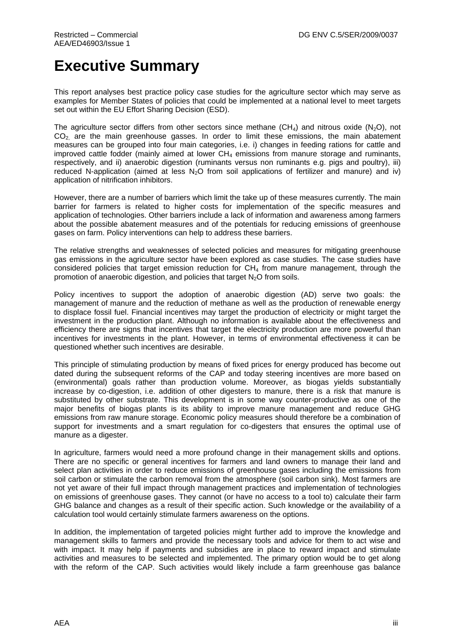# **Executive Summary**

This report analyses best practice policy case studies for the agriculture sector which may serve as examples for Member States of policies that could be implemented at a national level to meet targets set out within the EU Effort Sharing Decision (ESD).

The agriculture sector differs from other sectors since methane  $(CH_4)$  and nitrous oxide  $(N_2O)$ , not  $CO<sub>2</sub>$  are the main greenhouse gasses. In order to limit these emissions, the main abatement measures can be grouped into four main categories, i.e. i) changes in feeding rations for cattle and improved cattle fodder (mainly aimed at lower  $CH<sub>4</sub>$  emissions from manure storage and ruminants, respectively, and ii) anaerobic digestion (ruminants versus non ruminants e.g. pigs and poultry), iii) reduced N-application (aimed at less  $N<sub>2</sub>O$  from soil applications of fertilizer and manure) and iv) application of nitrification inhibitors.

However, there are a number of barriers which limit the take up of these measures currently. The main barrier for farmers is related to higher costs for implementation of the specific measures and application of technologies. Other barriers include a lack of information and awareness among farmers about the possible abatement measures and of the potentials for reducing emissions of greenhouse gases on farm. Policy interventions can help to address these barriers.

The relative strengths and weaknesses of selected policies and measures for mitigating greenhouse gas emissions in the agriculture sector have been explored as case studies. The case studies have considered policies that target emission reduction for  $CH<sub>4</sub>$  from manure management, through the promotion of anaerobic digestion, and policies that target  $N_2O$  from soils.

Policy incentives to support the adoption of anaerobic digestion (AD) serve two goals: the management of manure and the reduction of methane as well as the production of renewable energy to displace fossil fuel. Financial incentives may target the production of electricity or might target the investment in the production plant. Although no information is available about the effectiveness and efficiency there are signs that incentives that target the electricity production are more powerful than incentives for investments in the plant. However, in terms of environmental effectiveness it can be questioned whether such incentives are desirable.

This principle of stimulating production by means of fixed prices for energy produced has become out dated during the subsequent reforms of the CAP and today steering incentives are more based on (environmental) goals rather than production volume. Moreover, as biogas yields substantially increase by co-digestion, i.e. addition of other digesters to manure, there is a risk that manure is substituted by other substrate. This development is in some way counter-productive as one of the major benefits of biogas plants is its ability to improve manure management and reduce GHG emissions from raw manure storage. Economic policy measures should therefore be a combination of support for investments and a smart regulation for co-digesters that ensures the optimal use of manure as a digester.

In agriculture, farmers would need a more profound change in their management skills and options. There are no specific or general incentives for farmers and land owners to manage their land and select plan activities in order to reduce emissions of greenhouse gases including the emissions from soil carbon or stimulate the carbon removal from the atmosphere (soil carbon sink). Most farmers are not yet aware of their full impact through management practices and implementation of technologies on emissions of greenhouse gases. They cannot (or have no access to a tool to) calculate their farm GHG balance and changes as a result of their specific action. Such knowledge or the availability of a calculation tool would certainly stimulate farmers awareness on the options.

In addition, the implementation of targeted policies might further add to improve the knowledge and management skills to farmers and provide the necessary tools and advice for them to act wise and with impact. It may help if payments and subsidies are in place to reward impact and stimulate activities and measures to be selected and implemented. The primary option would be to get along with the reform of the CAP. Such activities would likely include a farm greenhouse gas balance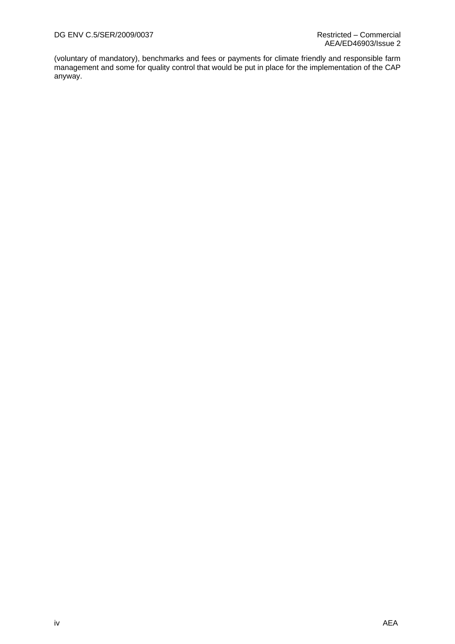(voluntary of mandatory), benchmarks and fees or payments for climate friendly and responsible farm management and some for quality control that would be put in place for the implementation of the CAP anyway.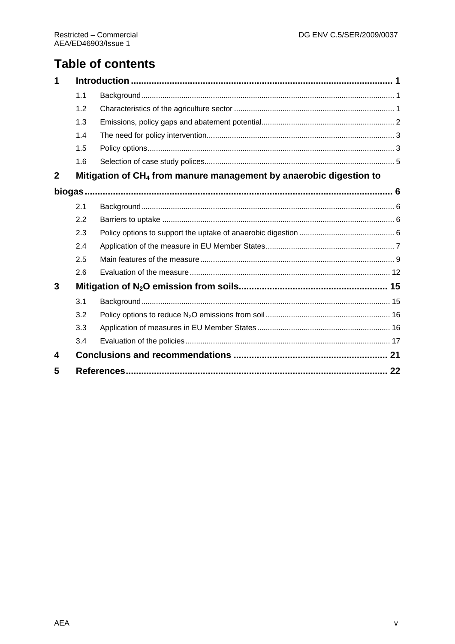## **Table of contents**

| 1           |     |                                                                                |  |
|-------------|-----|--------------------------------------------------------------------------------|--|
|             | 1.1 |                                                                                |  |
|             | 1.2 |                                                                                |  |
|             | 1.3 |                                                                                |  |
|             | 1.4 |                                                                                |  |
|             | 1.5 |                                                                                |  |
|             | 1.6 |                                                                                |  |
| $\mathbf 2$ |     | Mitigation of CH <sub>4</sub> from manure management by anaerobic digestion to |  |
|             |     |                                                                                |  |
|             | 2.1 |                                                                                |  |
|             | 2.2 |                                                                                |  |
|             | 2.3 |                                                                                |  |
|             | 2.4 |                                                                                |  |
|             | 2.5 |                                                                                |  |
|             | 2.6 |                                                                                |  |
| 3           |     |                                                                                |  |
|             | 3.1 |                                                                                |  |
|             | 3.2 |                                                                                |  |
|             | 3.3 |                                                                                |  |
|             | 3.4 |                                                                                |  |
| 4           |     |                                                                                |  |
| 5           |     |                                                                                |  |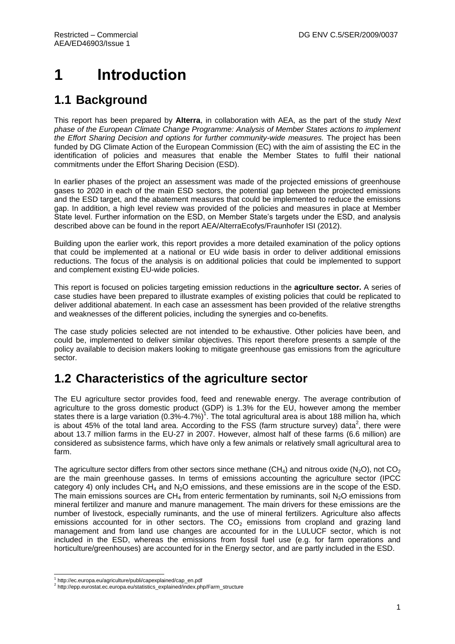# <span id="page-6-0"></span>**1 Introduction**

## <span id="page-6-1"></span>**1.1 Background**

This report has been prepared by **Alterra**, in collaboration with AEA, as the part of the study *Next phase of the European Climate Change Programme: Analysis of Member States actions to implement the Effort Sharing Decision and options for further community-wide measures.* The project has been funded by DG Climate Action of the European Commission (EC) with the aim of assisting the EC in the identification of policies and measures that enable the Member States to fulfil their national commitments under the Effort Sharing Decision (ESD).

In earlier phases of the project an assessment was made of the projected emissions of greenhouse gases to 2020 in each of the main ESD sectors, the potential gap between the projected emissions and the ESD target, and the abatement measures that could be implemented to reduce the emissions gap. In addition, a high level review was provided of the policies and measures in place at Member State level. Further information on the ESD, on Member State's targets under the ESD, and analysis described above can be found in the report AEA/AlterraEcofys/Fraunhofer ISI (2012).

Building upon the earlier work, this report provides a more detailed examination of the policy options that could be implemented at a national or EU wide basis in order to deliver additional emissions reductions. The focus of the analysis is on additional policies that could be implemented to support and complement existing EU-wide policies.

This report is focused on policies targeting emission reductions in the **agriculture sector.** A series of case studies have been prepared to illustrate examples of existing policies that could be replicated to deliver additional abatement. In each case an assessment has been provided of the relative strengths and weaknesses of the different policies, including the synergies and co-benefits.

The case study policies selected are not intended to be exhaustive. Other policies have been, and could be, implemented to deliver similar objectives. This report therefore presents a sample of the policy available to decision makers looking to mitigate greenhouse gas emissions from the agriculture sector.

## <span id="page-6-2"></span>**1.2 Characteristics of the agriculture sector**

The EU agriculture sector provides food, feed and renewable energy. The average contribution of agriculture to the gross domestic product (GDP) is 1.3% for the EU, however among the member states there is a large variation  $(0.3\% - 4.7\%)$ <sup>1</sup>. The total agricultural area is about 188 million ha, which is about 45% of the total land area. According to the FSS (farm structure survey) data<sup>2</sup>, there were about 13.7 million farms in the EU-27 in 2007. However, almost half of these farms (6.6 million) are considered as subsistence farms, which have only a few animals or relatively small agricultural area to farm.

The agriculture sector differs from other sectors since methane (CH<sub>4</sub>) and nitrous oxide (N<sub>2</sub>O), not CO<sub>2</sub> are the main greenhouse gasses. In terms of emissions accounting the agriculture sector (IPCC category 4) only includes  $CH_4$  and  $N<sub>2</sub>O$  emissions, and these emissions are in the scope of the ESD. The main emissions sources are  $CH<sub>4</sub>$  from enteric fermentation by ruminants, soil N<sub>2</sub>O emissions from mineral fertilizer and manure and manure management. The main drivers for these emissions are the number of livestock, especially ruminants, and the use of mineral fertilizers. Agriculture also affects emissions accounted for in other sectors. The  $CO<sub>2</sub>$  emissions from cropland and grazing land management and from land use changes are accounted for in the LULUCF sector, which is not included in the ESD, whereas the emissions from fossil fuel use (e.g. for farm operations and horticulture/greenhouses) are accounted for in the Energy sector, and are partly included in the ESD.

\_<br><sup>1</sup> http://ec.europa.eu/agriculture/publi/capexplained/cap\_en.pdf<br><sup>2</sup> http://epp.eurostat.ec.europa.eu/statistics\_explained/index.php/Farm\_structure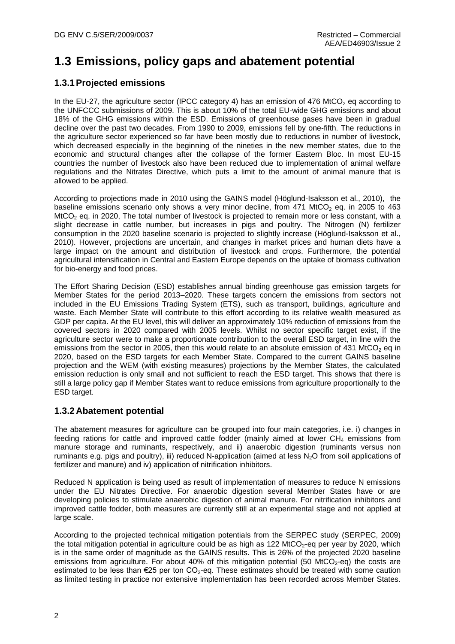## <span id="page-7-0"></span>**1.3 Emissions, policy gaps and abatement potential**

### **1.3.1Projected emissions**

In the EU-27, the agriculture sector (IPCC category 4) has an emission of 476 MtCO<sub>2</sub> eq according to the UNFCCC submissions of 2009. This is about 10% of the total EU-wide GHG emissions and about 18% of the GHG emissions within the ESD. Emissions of greenhouse gases have been in gradual decline over the past two decades. From 1990 to 2009, emissions fell by one-fifth. The reductions in the agriculture sector experienced so far have been mostly due to reductions in number of livestock, which decreased especially in the beginning of the nineties in the new member states, due to the economic and structural changes after the collapse of the former Eastern Bloc. In most EU-15 countries the number of livestock also have been reduced due to implementation of animal welfare regulations and the Nitrates Directive, which puts a limit to the amount of animal manure that is allowed to be applied.

According to projections made in 2010 using the GAINS model (Höglund-Isaksson et al., 2010), the baseline emissions scenario only shows a very minor decline, from 471 MtCO<sub>2</sub> eq. in 2005 to 463 MtCO<sub>2</sub> eq. in 2020, The total number of livestock is projected to remain more or less constant, with a slight decrease in cattle number, but increases in pigs and poultry. The Nitrogen (N) fertilizer consumption in the 2020 baseline scenario is projected to slightly increase (Höglund-Isaksson et al., 2010). However, projections are uncertain, and changes in market prices and human diets have a large impact on the amount and distribution of livestock and crops. Furthermore, the potential agricultural intensification in Central and Eastern Europe depends on the uptake of biomass cultivation for bio-energy and food prices.

The Effort Sharing Decision (ESD) establishes annual binding greenhouse gas emission targets for Member States for the period 2013–2020. These targets concern the emissions from sectors not included in the EU Emissions Trading System (ETS), such as transport, buildings, agriculture and waste. Each Member State will contribute to this effort according to its relative wealth measured as GDP per capita. At the EU level, this will deliver an approximately 10% reduction of emissions from the covered sectors in 2020 compared with 2005 levels. Whilst no sector specific target exist, if the agriculture sector were to make a proportionate contribution to the overall ESD target, in line with the emissions from the sector in 2005, then this would relate to an absolute emission of 431 MtCO<sub>2</sub> eq in 2020, based on the ESD targets for each Member State. Compared to the current GAINS baseline projection and the WEM (with existing measures) projections by the Member States, the calculated emission reduction is only small and not sufficient to reach the ESD target. This shows that there is still a large policy gap if Member States want to reduce emissions from agriculture proportionally to the ESD target.

### **1.3.2Abatement potential**

The abatement measures for agriculture can be grouped into four main categories, i.e. i) changes in feeding rations for cattle and improved cattle fodder (mainly aimed at lower  $CH_4$  emissions from manure storage and ruminants, respectively, and ii) anaerobic digestion (ruminants versus non ruminants e.g. pigs and poultry), iii) reduced N-application (aimed at less  $N<sub>2</sub>O$  from soil applications of fertilizer and manure) and iv) application of nitrification inhibitors.

Reduced N application is being used as result of implementation of measures to reduce N emissions under the EU Nitrates Directive. For anaerobic digestion several Member States have or are developing policies to stimulate anaerobic digestion of animal manure. For nitrification inhibitors and improved cattle fodder, both measures are currently still at an experimental stage and not applied at large scale.

According to the projected technical mitigation potentials from the SERPEC study (SERPEC, 2009) the total mitigation potential in agriculture could be as high as 122 MtCO<sub>2</sub>-eq per year by 2020, which is in the same order of magnitude as the GAINS results. This is 26% of the projected 2020 baseline emissions from agriculture. For about 40% of this mitigation potential (50 MtCO<sub>2</sub>-eq) the costs are estimated to be less than  $\epsilon$ 25 per ton CO<sub>2</sub>-eq. These estimates should be treated with some caution as limited testing in practice nor extensive implementation has been recorded across Member States.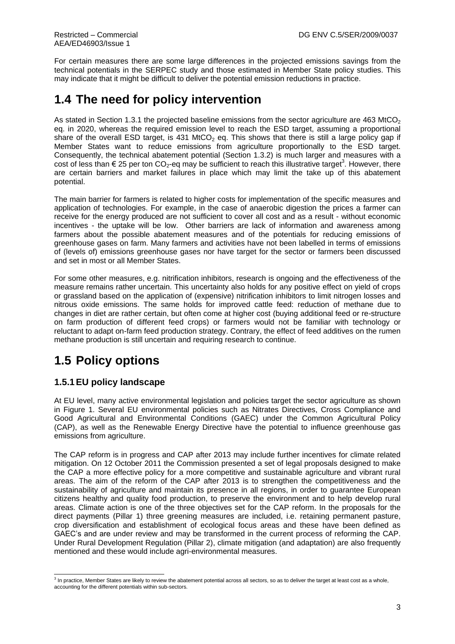For certain measures there are some large differences in the projected emissions savings from the technical potentials in the SERPEC study and those estimated in Member State policy studies. This may indicate that it might be difficult to deliver the potential emission reductions in practice.

### <span id="page-8-0"></span>**1.4 The need for policy intervention**

As stated in Section 1.3.1 the projected baseline emissions from the sector agriculture are 463 MtCO<sub>2</sub> eq. in 2020, whereas the required emission level to reach the ESD target, assuming a proportional share of the overall ESD target, is 431 MtCO<sub>2</sub> eq. This shows that there is still a large policy gap if Member States want to reduce emissions from agriculture proportionally to the ESD target. Consequently, the technical abatement potential (Section 1.3.2) is much larger and measures with a cost of less than  $\epsilon$  25 per ton CO<sub>2</sub>-eq may be sufficient to reach this illustrative target<sup>3</sup>. However, there are certain barriers and market failures in place which may limit the take up of this abatement potential.

The main barrier for farmers is related to higher costs for implementation of the specific measures and application of technologies. For example, in the case of anaerobic digestion the prices a farmer can receive for the energy produced are not sufficient to cover all cost and as a result - without economic incentives - the uptake will be low. Other barriers are lack of information and awareness among farmers about the possible abatement measures and of the potentials for reducing emissions of greenhouse gases on farm. Many farmers and activities have not been labelled in terms of emissions of (levels of) emissions greenhouse gases nor have target for the sector or farmers been discussed and set in most or all Member States.

For some other measures, e.g. nitrification inhibitors, research is ongoing and the effectiveness of the measure remains rather uncertain. This uncertainty also holds for any positive effect on yield of crops or grassland based on the application of (expensive) nitrification inhibitors to limit nitrogen losses and nitrous oxide emissions. The same holds for improved cattle feed: reduction of methane due to changes in diet are rather certain, but often come at higher cost (buying additional feed or re-structure on farm production of different feed crops) or farmers would not be familiar with technology or reluctant to adapt on-farm feed production strategy. Contrary, the effect of feed additives on the rumen methane production is still uncertain and requiring research to continue.

## <span id="page-8-1"></span>**1.5 Policy options**

#### **1.5.1EU policy landscape**

At EU level, many active environmental legislation and policies target the sector agriculture as shown in [Figure 1.](#page-9-0) Several EU environmental policies such as Nitrates Directives, Cross Compliance and Good Agricultural and Environmental Conditions (GAEC) under the Common Agricultural Policy (CAP), as well as the Renewable Energy Directive have the potential to influence greenhouse gas emissions from agriculture.

The CAP reform is in progress and CAP after 2013 may include further incentives for climate related mitigation. On 12 October 2011 the Commission presented a set of legal proposals designed to make the CAP a more effective policy for a more competitive and sustainable agriculture and vibrant rural areas. The aim of the reform of the CAP after 2013 is to strengthen the competitiveness and the sustainability of agriculture and maintain its presence in all regions, in order to guarantee European citizens healthy and quality food production, to preserve the environment and to help develop rural areas. Climate action is one of the three objectives set for the CAP reform. In the proposals for the direct payments (Pillar 1) three greening measures are included, i.e. retaining permanent pasture, crop diversification and establishment of ecological focus areas and these have been defined as GAEC's and are under review and may be transformed in the current process of reforming the CAP. Under Rural Development Regulation (Pillar 2), climate mitigation (and adaptation) are also frequently mentioned and these would include agri-environmental measures.

 3 In practice, Member States are likely to review the abatement potential across all sectors, so as to deliver the target at least cost as a whole, accounting for the different potentials within sub-sectors.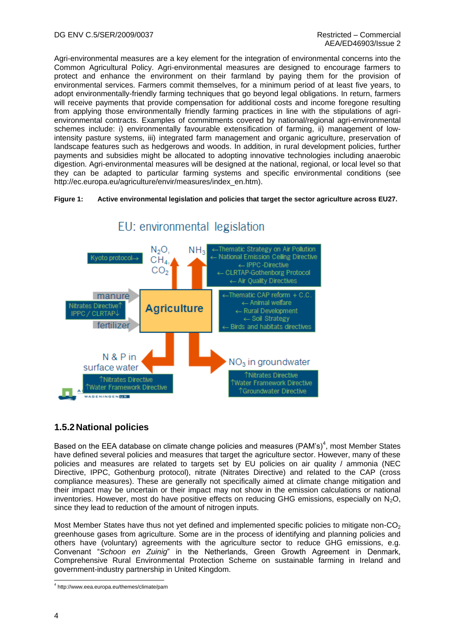Agri-environmental measures are a key element for the integration of environmental concerns into the Common Agricultural Policy. Agri-environmental measures are designed to encourage farmers to protect and enhance the environment on their farmland by paying them for the provision of environmental services. Farmers commit themselves, for a minimum period of at least five years, to adopt environmentally-friendly farming techniques that go beyond legal obligations. In return, farmers will receive payments that provide compensation for additional costs and income foregone resulting from applying those environmentally friendly farming practices in line with the stipulations of agrienvironmental contracts. Examples of commitments covered by national/regional agri-environmental schemes include: i) environmentally favourable extensification of farming, ii) management of lowintensity pasture systems, iii) integrated farm management and organic agriculture, preservation of landscape features such as hedgerows and woods. In addition, in rural development policies, further payments and subsidies might be allocated to adopting innovative technologies including anaerobic digestion. Agri-environmental measures will be designed at the national, regional, or local level so that they can be adapted to particular farming systems and specific environmental conditions (see http://ec.europa.eu/agriculture/envir/measures/index\_en.htm).

#### <span id="page-9-0"></span>**Figure 1: Active environmental legislation and policies that target the sector agriculture across EU27.**



### EU: environmental legislation

### **1.5.2National policies**

Based on the EEA database on climate change policies and measures (PAM's)<sup>4</sup>, most Member States have defined several policies and measures that target the agriculture sector. However, many of these policies and measures are related to targets set by EU policies on air quality / ammonia (NEC Directive, IPPC, Gothenburg protocol), nitrate (Nitrates Directive) and related to the CAP (cross compliance measures). These are generally not specifically aimed at climate change mitigation and their impact may be uncertain or their impact may not show in the emission calculations or national inventories. However, most do have positive effects on reducing GHG emissions, especially on  $N_2O$ , since they lead to reduction of the amount of nitrogen inputs.

Most Member States have thus not yet defined and implemented specific policies to mitigate non- $CO<sub>2</sub>$ greenhouse gases from agriculture. Some are in the process of identifying and planning policies and others have (voluntary) agreements with the agriculture sector to reduce GHG emissions, e.g. Convenant "*Schoon en Zuinig*" in the Netherlands, Green Growth Agreement in Denmark, Comprehensive Rural Environmental Protection Scheme on sustainable farming in Ireland and government-industry partnership in United Kingdom.

<sup>1</sup> 4 http://www.eea.europa.eu/themes/climate/pam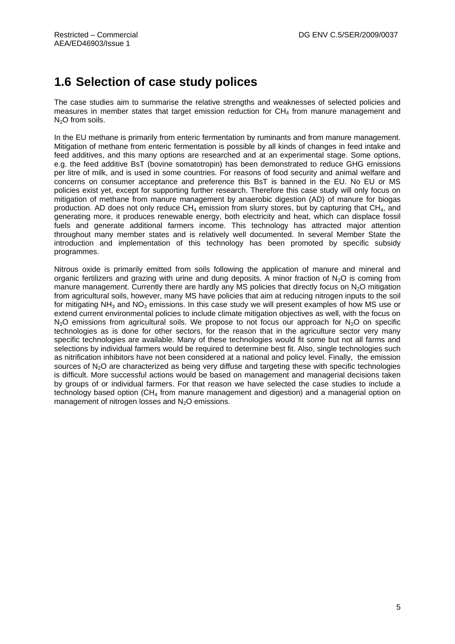### <span id="page-10-0"></span>**1.6 Selection of case study polices**

The case studies aim to summarise the relative strengths and weaknesses of selected policies and measures in member states that target emission reduction for  $CH<sub>4</sub>$  from manure management and  $N<sub>2</sub>O$  from soils.

In the EU methane is primarily from enteric fermentation by ruminants and from manure management. Mitigation of methane from enteric fermentation is possible by all kinds of changes in feed intake and feed additives, and this many options are researched and at an experimental stage. Some options, e.g. the feed additive BsT (bovine somatotropin) has been demonstrated to reduce GHG emissions per litre of milk, and is used in some countries. For reasons of food security and animal welfare and concerns on consumer acceptance and preference this BsT is banned in the EU. No EU or MS policies exist yet, except for supporting further research. Therefore this case study will only focus on mitigation of methane from manure management by anaerobic digestion (AD) of manure for biogas production. AD does not only reduce  $CH_4$  emission from slurry stores, but by capturing that  $CH_4$ , and generating more, it produces renewable energy, both electricity and heat, which can displace fossil fuels and generate additional farmers income. This technology has attracted major attention throughout many member states and is relatively well documented. In several Member State the introduction and implementation of this technology has been promoted by specific subsidy programmes.

Nitrous oxide is primarily emitted from soils following the application of manure and mineral and organic fertilizers and grazing with urine and dung deposits. A minor fraction of  $N_2O$  is coming from manure management. Currently there are hardly any MS policies that directly focus on  $N<sub>2</sub>O$  mitigation from agricultural soils, however, many MS have policies that aim at reducing nitrogen inputs to the soil for mitigating  $NH_3$  and  $NO_3$  emissions. In this case study we will present examples of how MS use or extend current environmental policies to include climate mitigation objectives as well, with the focus on  $N_2$ O emissions from agricultural soils. We propose to not focus our approach for  $N_2$ O on specific technologies as is done for other sectors, for the reason that in the agriculture sector very many specific technologies are available. Many of these technologies would fit some but not all farms and selections by individual farmers would be required to determine best fit. Also, single technologies such as nitrification inhibitors have not been considered at a national and policy level. Finally, the emission sources of  $N_2O$  are characterized as being very diffuse and targeting these with specific technologies is difficult. More successful actions would be based on management and managerial decisions taken by groups of or individual farmers. For that reason we have selected the case studies to include a technology based option (CH<sup>4</sup> from manure management and digestion) and a managerial option on management of nitrogen losses and  $N<sub>2</sub>O$  emissions.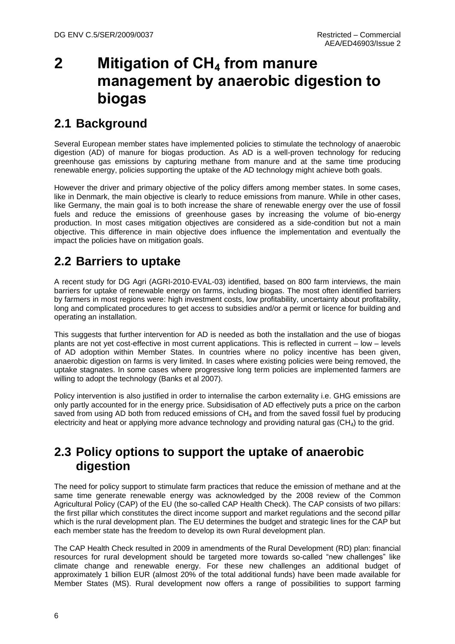# <span id="page-11-0"></span>**2 Mitigation of CH<sup>4</sup> from manure management by anaerobic digestion to biogas**

## <span id="page-11-1"></span>**2.1 Background**

Several European member states have implemented policies to stimulate the technology of anaerobic digestion (AD) of manure for biogas production. As AD is a well-proven technology for reducing greenhouse gas emissions by capturing methane from manure and at the same time producing renewable energy, policies supporting the uptake of the AD technology might achieve both goals.

However the driver and primary objective of the policy differs among member states. In some cases, like in Denmark, the main objective is clearly to reduce emissions from manure. While in other cases, like Germany, the main goal is to both increase the share of renewable energy over the use of fossil fuels and reduce the emissions of greenhouse gases by increasing the volume of bio-energy production. In most cases mitigation objectives are considered as a side-condition but not a main objective. This difference in main objective does influence the implementation and eventually the impact the policies have on mitigation goals.

## <span id="page-11-2"></span>**2.2 Barriers to uptake**

A recent study for DG Agri (AGRI-2010-EVAL-03) identified, based on 800 farm interviews, the main barriers for uptake of renewable energy on farms, including biogas. The most often identified barriers by farmers in most regions were: high investment costs, low profitability, uncertainty about profitability, long and complicated procedures to get access to subsidies and/or a permit or licence for building and operating an installation.

This suggests that further intervention for AD is needed as both the installation and the use of biogas plants are not yet cost-effective in most current applications. This is reflected in current – low – levels of AD adoption within Member States. In countries where no policy incentive has been given, anaerobic digestion on farms is very limited. In cases where existing policies were being removed, the uptake stagnates. In some cases where progressive long term policies are implemented farmers are willing to adopt the technology (Banks et al 2007).

Policy intervention is also justified in order to internalise the carbon externality i.e. GHG emissions are only partly accounted for in the energy price. Subsidisation of AD effectively puts a price on the carbon saved from using AD both from reduced emissions of  $CH<sub>4</sub>$  and from the saved fossil fuel by producing electricity and heat or applying more advance technology and providing natural gas  $(CH_4)$  to the grid.

### <span id="page-11-3"></span>**2.3 Policy options to support the uptake of anaerobic digestion**

The need for policy support to stimulate farm practices that reduce the emission of methane and at the same time generate renewable energy was acknowledged by the 2008 review of the Common Agricultural Policy (CAP) of the EU (the so-called CAP Health Check). The CAP consists of two pillars: the first pillar which constitutes the direct income support and market regulations and the second pillar which is the rural development plan. The EU determines the budget and strategic lines for the CAP but each member state has the freedom to develop its own Rural development plan.

The CAP Health Check resulted in 2009 in amendments of the Rural Development (RD) plan: financial resources for rural development should be targeted more towards so-called "new challenges" like climate change and renewable energy. For these new challenges an additional budget of approximately 1 billion EUR (almost 20% of the total additional funds) have been made available for Member States (MS). Rural development now offers a range of possibilities to support farming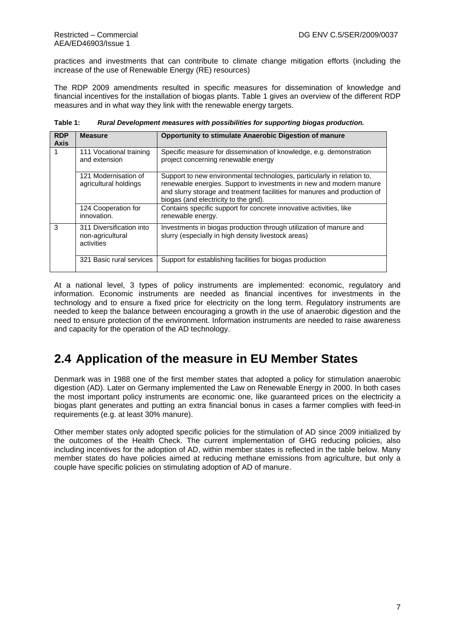practices and investments that can contribute to climate change mitigation efforts (including the increase of the use of Renewable Energy (RE) resources)

The RDP 2009 amendments resulted in specific measures for dissemination of knowledge and financial incentives for the installation of biogas plants. [Table 1](#page-12-1) gives an overview of the different RDP measures and in what way they link with the renewable energy targets.

| <b>RDP</b><br><b>Axis</b> | <b>Measure</b>                                             | Opportunity to stimulate Anaerobic Digestion of manure                                                                                                                                                                                                               |
|---------------------------|------------------------------------------------------------|----------------------------------------------------------------------------------------------------------------------------------------------------------------------------------------------------------------------------------------------------------------------|
| 1                         | 111 Vocational training<br>and extension                   | Specific measure for dissemination of knowledge, e.g. demonstration<br>project concerning renewable energy                                                                                                                                                           |
|                           | 121 Modernisation of<br>agricultural holdings              | Support to new environmental technologies, particularly in relation to,<br>renewable energies. Support to investments in new and modern manure<br>and slurry storage and treatment facilities for manures and production of<br>biogas (and electricity to the grid). |
|                           | 124 Cooperation for<br>innovation.                         | Contains specific support for concrete innovative activities, like<br>renewable energy.                                                                                                                                                                              |
| 3                         | 311 Diversification into<br>non-agricultural<br>activities | Investments in biogas production through utilization of manure and<br>slurry (especially in high density livestock areas)                                                                                                                                            |
|                           | 321 Basic rural services                                   | Support for establishing facilities for biogas production                                                                                                                                                                                                            |

<span id="page-12-1"></span>**Table 1:** *Rural Development measures with possibilities for supporting biogas production.*

At a national level, 3 types of policy instruments are implemented: economic, regulatory and information. Economic instruments are needed as financial incentives for investments in the technology and to ensure a fixed price for electricity on the long term. Regulatory instruments are needed to keep the balance between encouraging a growth in the use of anaerobic digestion and the need to ensure protection of the environment. Information instruments are needed to raise awareness and capacity for the operation of the AD technology.

### <span id="page-12-0"></span>**2.4 Application of the measure in EU Member States**

Denmark was in 1988 one of the first member states that adopted a policy for stimulation anaerobic digestion (AD). Later on Germany implemented the Law on Renewable Energy in 2000. In both cases the most important policy instruments are economic one, like guaranteed prices on the electricity a biogas plant generates and putting an extra financial bonus in cases a farmer complies with feed-in requirements (e.g. at least 30% manure).

Other member states only adopted specific policies for the stimulation of AD since 2009 initialized by the outcomes of the Health Check. The current implementation of GHG reducing policies, also including incentives for the adoption of AD, within member states is reflected in the table below. Many member states do have policies aimed at reducing methane emissions from agriculture, but only a couple have specific policies on stimulating adoption of AD of manure.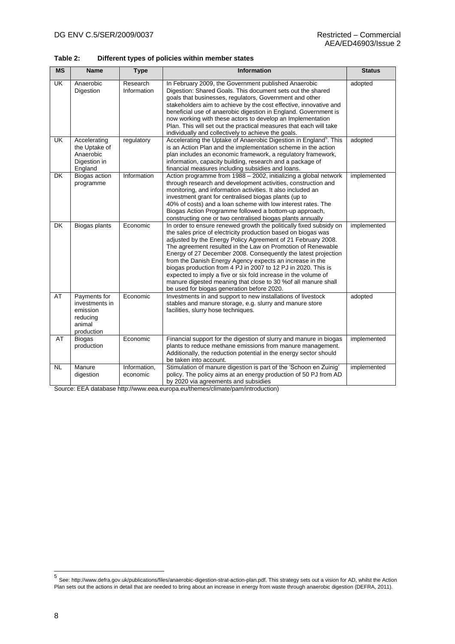**Table 2: Different types of policies within member states**

| <b>MS</b>                | <b>Name</b>                                                                    | <b>Type</b>              | <b>Information</b>                                                                                                                                                                                                                                                                                                                                                                                                                                                                                                                                                                                                                                  | <b>Status</b> |
|--------------------------|--------------------------------------------------------------------------------|--------------------------|-----------------------------------------------------------------------------------------------------------------------------------------------------------------------------------------------------------------------------------------------------------------------------------------------------------------------------------------------------------------------------------------------------------------------------------------------------------------------------------------------------------------------------------------------------------------------------------------------------------------------------------------------------|---------------|
| UK                       | Anaerobic<br>Digestion                                                         | Research<br>Information  | In February 2009, the Government published Anaerobic<br>Digestion: Shared Goals. This document sets out the shared<br>goals that businesses, regulators, Government and other<br>stakeholders aim to achieve by the cost effective, innovative and<br>beneficial use of anaerobic digestion in England. Government is<br>now working with these actors to develop an Implementation<br>Plan. This will set out the practical measures that each will take<br>individually and collectively to achieve the goals.                                                                                                                                    | adopted       |
| UK                       | Accelerating<br>the Uptake of<br>Anaerobic<br>Digestion in<br>England          | regulatory               | Accelerating the Uptake of Anaerobic Digestion in England <sup>5</sup> . This<br>is an Action Plan and the implementation scheme in the action<br>plan includes an economic framework, a regulatory framework,<br>information, capacity building, research and a package of<br>financial measures including subsidies and loans.                                                                                                                                                                                                                                                                                                                    | adopted       |
| <b>DK</b>                | Biogas action<br>programme                                                     | Information              | Action programme from 1988 - 2002, initializing a global network<br>through research and development activities, construction and<br>monitoring, and information activities. It also included an<br>investment grant for centralised biogas plants (up to<br>40% of costs) and a loan scheme with low interest rates. The<br>Biogas Action Programme followed a bottom-up approach,<br>constructing one or two centralised biogas plants annually                                                                                                                                                                                                   | implemented   |
| $\overline{\mathsf{DK}}$ | Biogas plants                                                                  | Economic                 | In order to ensure renewed growth the politically fixed subsidy on<br>the sales price of electricity production based on biogas was<br>adjusted by the Energy Policy Agreement of 21 February 2008.<br>The agreement resulted in the Law on Promotion of Renewable<br>Energy of 27 December 2008. Consequently the latest projection<br>from the Danish Energy Agency expects an increase in the<br>biogas production from 4 PJ in 2007 to 12 PJ in 2020. This is<br>expected to imply a five or six fold increase in the volume of<br>manure digested meaning that close to 30 % of all manure shall<br>be used for biogas generation before 2020. | implemented   |
| AT                       | Payments for<br>investments in<br>emission<br>reducing<br>animal<br>production | Economic                 | Investments in and support to new installations of livestock<br>stables and manure storage, e.g. slurry and manure store<br>facilities, slurry hose techniques.                                                                                                                                                                                                                                                                                                                                                                                                                                                                                     | adopted       |
| AT                       | <b>Biogas</b><br>production                                                    | Economic                 | Financial support for the digestion of slurry and manure in biogas<br>plants to reduce methane emissions from manure management.<br>Additionally, the reduction potential in the energy sector should<br>be taken into account.                                                                                                                                                                                                                                                                                                                                                                                                                     | implemented   |
| <b>NL</b>                | Manure<br>digestion                                                            | Information,<br>economic | Stimulation of manure digestion is part of the 'Schoon en Zuinig'<br>policy. The policy aims at an energy production of 50 PJ from AD<br>by 2020 via agreements and subsidies                                                                                                                                                                                                                                                                                                                                                                                                                                                                       | implemented   |

Source: EEA database http://www.eea.europa.eu/themes/climate/pam/introduction)

 5 See[: http://www.defra.gov.uk/publications/files/anaerobic-digestion-strat-action-plan.pdf.](http://www.defra.gov.uk/publications/files/anaerobic-digestion-strat-action-plan.pdf) This strategy sets out a vision for AD, whilst the Action Plan sets out the actions in detail that are needed to bring about an increase in energy from waste through anaerobic digestion (DEFRA, 2011).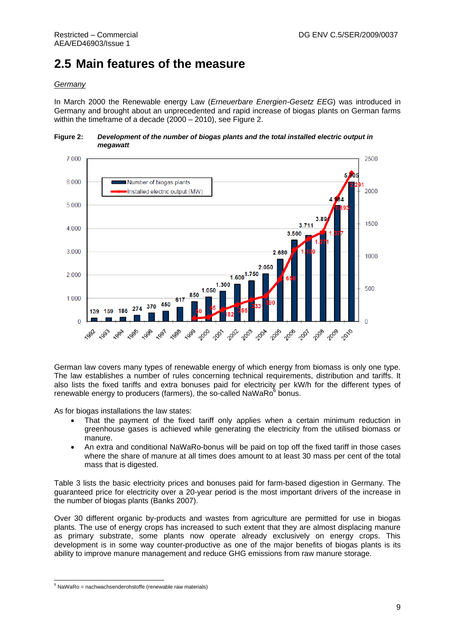## <span id="page-14-0"></span>**2.5 Main features of the measure**

#### *Germany*

In March 2000 the Renewable energy Law (*Erneuerbare Energien-Gesetz EEG*) was introduced in Germany and brought about an unprecedented and rapid increase of biogas plants on German farms within the timeframe of a decade (2000 – 2010), see [Figure 2.](#page-14-1)

#### <span id="page-14-1"></span>**Figure 2:** *Development of the number of biogas plants and the total installed electric output in megawatt*



German law covers many types of renewable energy of which energy from biomass is only one type. The law establishes a number of rules concerning technical requirements, distribution and tariffs. It also lists the fixed tariffs and extra bonuses paid for electricity per kW/h for the different types of renewable energy to producers (farmers), the so-called NaWaRo $^6$  bonus.

As for biogas installations the law states:

- That the payment of the fixed tariff only applies when a certain minimum reduction in greenhouse gases is achieved while generating the electricity from the utilised biomass or manure.
- An extra and conditional NaWaRo-bonus will be paid on top off the fixed tariff in those cases where the share of manure at all times does amount to at least 30 mass per cent of the total mass that is digested.

[Table 3](#page-15-0) lists the basic electricity prices and bonuses paid for farm-based digestion in Germany. The guaranteed price for electricity over a 20-year period is the most important drivers of the increase in the number of biogas plants (Banks 2007).

Over 30 different organic by-products and wastes from agriculture are permitted for use in biogas plants. The use of energy crops has increased to such extent that they are almost displacing manure as primary substrate, some plants now operate already exclusively on energy crops. This development is in some way counter-productive as one of the major benefits of biogas plants is its ability to improve manure management and reduce GHG emissions from raw manure storage.

<sup>1</sup>  $6$  NaWaRo = nachwachsenderohstoffe (renewable raw materials)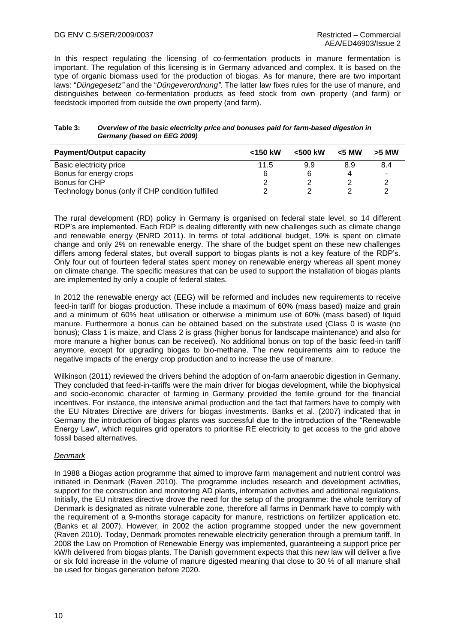In this respect regulating the licensing of co-fermentation products in manure fermentation is important. The regulation of this licensing is in Germany advanced and complex. It is based on the type of organic biomass used for the production of biogas. As for manure, there are two important laws: "*Düngegesetz"* and the "*Düngeverordnung"*. The latter law fixes rules for the use of manure, and distinguishes between co-fermentation products as feed stock from own property (and farm) or feedstock imported from outside the own property (and farm).

#### <span id="page-15-0"></span>**Table 3:** *Overview of the basic electricity price and bonuses paid for farm-based digestion in Germany (based on EEG 2009)*

| <b>Payment/Output capacity</b>                    | $<$ 150 kW | $< 500$ kW | $<$ 5 MW | >5 MW                    |
|---------------------------------------------------|------------|------------|----------|--------------------------|
| Basic electricity price                           | 11.5       | 9.9        | 8.9      | 8.4                      |
| Bonus for energy crops                            |            |            |          | $\overline{\phantom{a}}$ |
| Bonus for CHP                                     |            |            |          |                          |
| Technology bonus (only if CHP condition fulfilled |            |            |          |                          |

The rural development (RD) policy in Germany is organised on federal state level, so 14 different RDP's are implemented. Each RDP is dealing differently with new challenges such as climate change and renewable energy (ENRD 2011). In terms of total additional budget, 19% is spent on climate change and only 2% on renewable energy. The share of the budget spent on these new challenges differs among federal states, but overall support to biogas plants is not a key feature of the RDP's. Only four out of fourteen federal states spent money on renewable energy whereas all spent money on climate change. The specific measures that can be used to support the installation of biogas plants are implemented by only a couple of federal states.

In 2012 the renewable energy act (EEG) will be reformed and includes new requirements to receive feed-in tariff for biogas production. These include a maximum of 60% (mass based) maize and grain and a minimum of 60% heat utilisation or otherwise a minimum use of 60% (mass based) of liquid manure. Furthermore a bonus can be obtained based on the substrate used (Class 0 is waste (no bonus); Class 1 is maize, and Class 2 is grass (higher bonus for landscape maintenance) and also for more manure a higher bonus can be received). No additional bonus on top of the basic feed-in tariff anymore, except for upgrading biogas to bio-methane. The new requirements aim to reduce the negative impacts of the energy crop production and to increase the use of manure.

Wilkinson (2011) reviewed the drivers behind the adoption of on-farm anaerobic digestion in Germany. They concluded that feed-in-tariffs were the main driver for biogas development, while the biophysical and socio-economic character of farming in Germany provided the fertile ground for the financial incentives. For instance, the intensive animal production and the fact that farmers have to comply with the EU Nitrates Directive are drivers for biogas investments. Banks et al. (2007) indicated that in Germany the introduction of biogas plants was successful due to the introduction of the "Renewable Energy Law", which requires grid operators to prioritise RE electricity to get access to the grid above fossil based alternatives.

#### *Denmark*

In 1988 a Biogas action programme that aimed to improve farm management and nutrient control was initiated in Denmark (Raven 2010). The programme includes research and development activities, support for the construction and monitoring AD plants, information activities and additional regulations. Initially, the EU nitrates directive drove the need for the setup of the programme: the whole territory of Denmark is designated as nitrate vulnerable zone, therefore all farms in Denmark have to comply with the requirement of a 9-months storage capacity for manure, restrictions on fertilizer application etc. (Banks et al 2007). However, in 2002 the action programme stopped under the new government (Raven 2010). Today, Denmark promotes renewable electricity generation through a premium tariff. In 2008 the Law on Promotion of Renewable Energy was implemented, guaranteeing a support price per kW/h delivered from biogas plants. The Danish government expects that this new law will deliver a five or six fold increase in the volume of manure digested meaning that close to 30 % of all manure shall be used for biogas generation before 2020.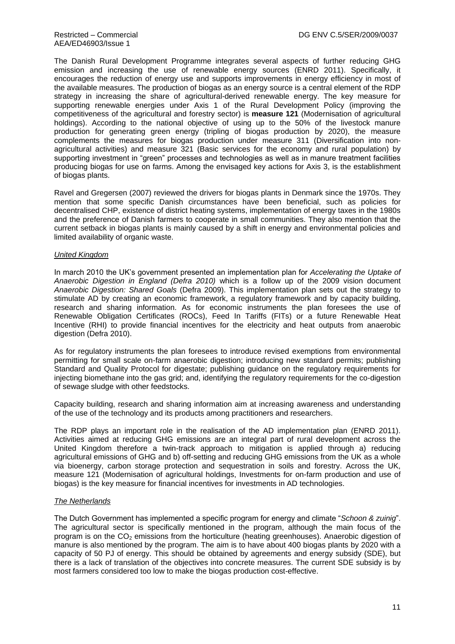The Danish Rural Development Programme integrates several aspects of further reducing GHG emission and increasing the use of renewable energy sources (ENRD 2011). Specifically, it encourages the reduction of energy use and supports improvements in energy efficiency in most of the available measures. The production of biogas as an energy source is a central element of the RDP strategy in increasing the share of agricultural-derived renewable energy. The key measure for supporting renewable energies under Axis 1 of the Rural Development Policy (improving the competitiveness of the agricultural and forestry sector) is **measure 121** (Modernisation of agricultural holdings). According to the national objective of using up to the 50% of the livestock manure production for generating green energy (tripling of biogas production by 2020), the measure complements the measures for biogas production under measure 311 (Diversification into nonagricultural activities) and measure 321 (Basic services for the economy and rural population) by supporting investment in "green" processes and technologies as well as in manure treatment facilities producing biogas for use on farms. Among the envisaged key actions for Axis 3, is the establishment of biogas plants.

Ravel and Gregersen (2007) reviewed the drivers for biogas plants in Denmark since the 1970s. They mention that some specific Danish circumstances have been beneficial, such as policies for decentralised CHP, existence of district heating systems, implementation of energy taxes in the 1980s and the preference of Danish farmers to cooperate in small communities. They also mention that the current setback in biogas plants is mainly caused by a shift in energy and environmental policies and limited availability of organic waste.

#### *United Kingdom*

In march 2010 the UK's government presented an implementation plan for *Accelerating the Uptake of Anaerobic Digestion in England (Defra 2010)* which is a follow up of the 2009 vision document *Anaerobic Digestion: Shared Goals* (Defra 2009). This implementation plan sets out the strategy to stimulate AD by creating an economic framework, a regulatory framework and by capacity building, research and sharing information. As for economic instruments the plan foresees the use of Renewable Obligation Certificates (ROCs), Feed In Tariffs (FITs) or a future Renewable Heat Incentive (RHI) to provide financial incentives for the electricity and heat outputs from anaerobic digestion (Defra 2010).

As for regulatory instruments the plan foresees to introduce revised exemptions from environmental permitting for small scale on-farm anaerobic digestion; introducing new standard permits; publishing Standard and Quality Protocol for digestate; publishing guidance on the regulatory requirements for injecting biomethane into the gas grid; and, identifying the regulatory requirements for the co-digestion of sewage sludge with other feedstocks.

Capacity building, research and sharing information aim at increasing awareness and understanding of the use of the technology and its products among practitioners and researchers.

The RDP plays an important role in the realisation of the AD implementation plan (ENRD 2011). Activities aimed at reducing GHG emissions are an integral part of rural development across the United Kingdom therefore a twin-track approach to mitigation is applied through a) reducing agricultural emissions of GHG and b) off-setting and reducing GHG emissions from the UK as a whole via bioenergy, carbon storage protection and sequestration in soils and forestry. Across the UK, measure 121 (Modernisation of agricultural holdings, Investments for on-farm production and use of biogas) is the key measure for financial incentives for investments in AD technologies.

#### *The Netherlands*

The Dutch Government has implemented a specific program for energy and climate "*Schoon & zuinig*". The agricultural sector is specifically mentioned in the program, although the main focus of the program is on the  $CO<sub>2</sub>$  emissions from the horticulture (heating greenhouses). Anaerobic digestion of manure is also mentioned by the program. The aim is to have about 400 biogas plants by 2020 with a capacity of 50 PJ of energy. This should be obtained by agreements and energy subsidy (SDE), but there is a lack of translation of the objectives into concrete measures. The current SDE subsidy is by most farmers considered too low to make the biogas production cost-effective.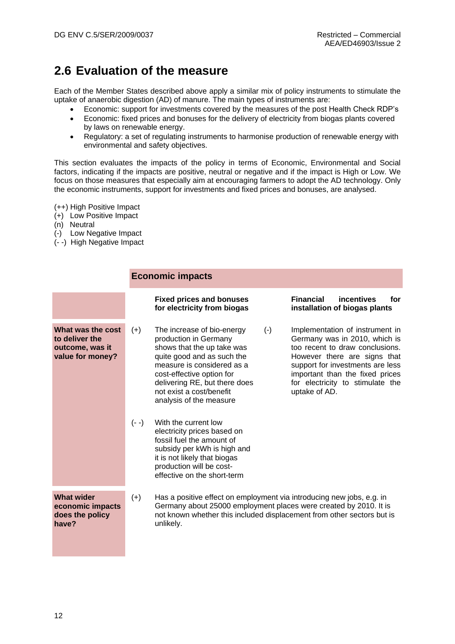## <span id="page-17-0"></span>**2.6 Evaluation of the measure**

Each of the Member States described above apply a similar mix of policy instruments to stimulate the uptake of anaerobic digestion (AD) of manure. The main types of instruments are:

- Economic: support for investments covered by the measures of the post Health Check RDP's
- Economic: fixed prices and bonuses for the delivery of electricity from biogas plants covered by laws on renewable energy.
- Regulatory: a set of regulating instruments to harmonise production of renewable energy with environmental and safety objectives.

This section evaluates the impacts of the policy in terms of Economic, Environmental and Social factors, indicating if the impacts are positive, neutral or negative and if the impact is High or Low. We focus on those measures that especially aim at encouraging farmers to adopt the AD technology. Only the economic instruments, support for investments and fixed prices and bonuses, are analysed.

(++) High Positive Impact

- (+) Low Positive Impact
- (n) Neutral
- (-) Low Negative Impact
- (- -) High Negative Impact

#### **Economic impacts**

|                                                                            |         | <b>Fixed prices and bonuses</b><br>for electricity from biogas                                                                                                                                                                                                              | <b>Financial</b><br>incentives<br>for<br>installation of biogas plants                                                                                                                                                                                          |
|----------------------------------------------------------------------------|---------|-----------------------------------------------------------------------------------------------------------------------------------------------------------------------------------------------------------------------------------------------------------------------------|-----------------------------------------------------------------------------------------------------------------------------------------------------------------------------------------------------------------------------------------------------------------|
| What was the cost<br>to deliver the<br>outcome, was it<br>value for money? | $(+)$   | $(-)$<br>The increase of bio-energy<br>production in Germany<br>shows that the up take was<br>quite good and as such the<br>measure is considered as a<br>cost-effective option for<br>delivering RE, but there does<br>not exist a cost/benefit<br>analysis of the measure | Implementation of instrument in<br>Germany was in 2010, which is<br>too recent to draw conclusions.<br>However there are signs that<br>support for investments are less<br>important than the fixed prices<br>for electricity to stimulate the<br>uptake of AD. |
|                                                                            | $(- -)$ | With the current low<br>electricity prices based on<br>fossil fuel the amount of<br>subsidy per kWh is high and<br>it is not likely that biogas<br>production will be cost-<br>effective on the short-term                                                                  |                                                                                                                                                                                                                                                                 |
| <b>What wider</b><br>economic impacts<br>does the policy<br>have?          | $(+)$   | Has a positive effect on employment via introducing new jobs, e.g. in<br>Germany about 25000 employment places were created by 2010. It is<br>not known whether this included displacement from other sectors but is<br>unlikely.                                           |                                                                                                                                                                                                                                                                 |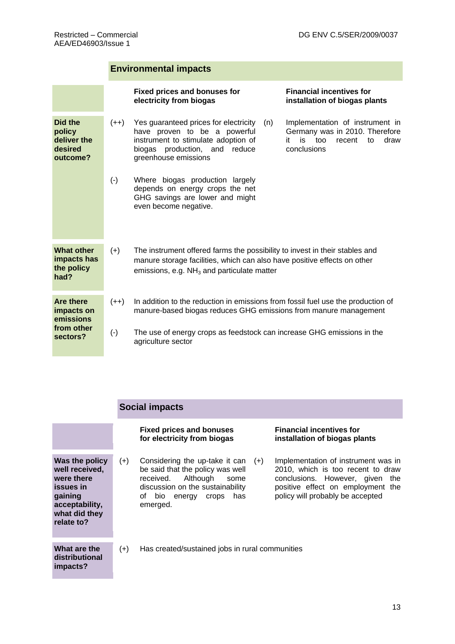### **Environmental impacts**

|                                                         |           | <b>Fixed prices and bonuses for</b><br>electricity from biogas                                                                                                                                          | <b>Financial incentives for</b><br>installation of biogas plants                                                            |
|---------------------------------------------------------|-----------|---------------------------------------------------------------------------------------------------------------------------------------------------------------------------------------------------------|-----------------------------------------------------------------------------------------------------------------------------|
| Did the<br>policy<br>deliver the<br>desired<br>outcome? | $(++)$    | Yes guaranteed prices for electricity<br>(n)<br>have proven to be a powerful<br>instrument to stimulate adoption of<br>biogas production, and<br>reduce<br>greenhouse emissions                         | Implementation of instrument in<br>Germany was in 2010. Therefore<br>is<br>too<br>recent<br>to<br>draw<br>it<br>conclusions |
|                                                         | $(-)$     | Where biogas production largely<br>depends on energy crops the net<br>GHG savings are lower and might<br>even become negative.                                                                          |                                                                                                                             |
| <b>What other</b><br>impacts has<br>the policy<br>had?  | $(+)$     | The instrument offered farms the possibility to invest in their stables and<br>manure storage facilities, which can also have positive effects on other<br>emissions, e.g. $NH3$ and particulate matter |                                                                                                                             |
| <b>Are there</b><br>impacts on<br>emissions             | $(++)$    | In addition to the reduction in emissions from fossil fuel use the production of<br>manure-based biogas reduces GHG emissions from manure management                                                    |                                                                                                                             |
| from other<br>sectors?                                  | $(\cdot)$ | The use of energy crops as feedstock can increase GHG emissions in the<br>agriculture sector                                                                                                            |                                                                                                                             |

### **Social impacts**

|                                                                                                                         |       | <b>Fixed prices and bonuses</b><br>for electricity from biogas                                                                                                                          | <b>Financial incentives for</b><br>installation of biogas plants                                                                                                                        |
|-------------------------------------------------------------------------------------------------------------------------|-------|-----------------------------------------------------------------------------------------------------------------------------------------------------------------------------------------|-----------------------------------------------------------------------------------------------------------------------------------------------------------------------------------------|
| Was the policy<br>well received,<br>were there<br>issues in<br>gaining<br>acceptability,<br>what did they<br>relate to? | $(+)$ | Considering the up-take it can<br>$(+)$<br>be said that the policy was well<br>received.<br>Although<br>some<br>discussion on the sustainability<br>of bio energy crops has<br>emerged. | Implementation of instrument was in<br>2010, which is too recent to draw<br>conclusions. However, given<br>the<br>positive effect on employment the<br>policy will probably be accepted |
| What are the<br>distributional<br>impacts?                                                                              | $(+)$ | Has created/sustained jobs in rural communities                                                                                                                                         |                                                                                                                                                                                         |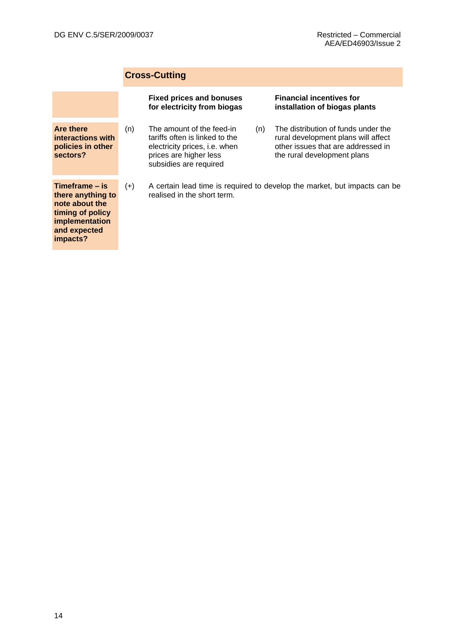### **Cross-Cutting**

|                                                                                                                         |       | <b>Fixed prices and bonuses</b><br>for electricity from biogas                                                                                   |     | <b>Financial incentives for</b><br>installation of biogas plants                                                                                |
|-------------------------------------------------------------------------------------------------------------------------|-------|--------------------------------------------------------------------------------------------------------------------------------------------------|-----|-------------------------------------------------------------------------------------------------------------------------------------------------|
| <b>Are there</b><br>interactions with<br>policies in other<br>sectors?                                                  | (n)   | The amount of the feed-in<br>tariffs often is linked to the<br>electricity prices, i.e. when<br>prices are higher less<br>subsidies are required | (n) | The distribution of funds under the<br>rural development plans will affect<br>other issues that are addressed in<br>the rural development plans |
| Timeframe – is<br>there anything to<br>note about the<br>timing of policy<br>implementation<br>and expected<br>impacts? | $(+)$ | realised in the short term.                                                                                                                      |     | A certain lead time is required to develop the market, but impacts can be                                                                       |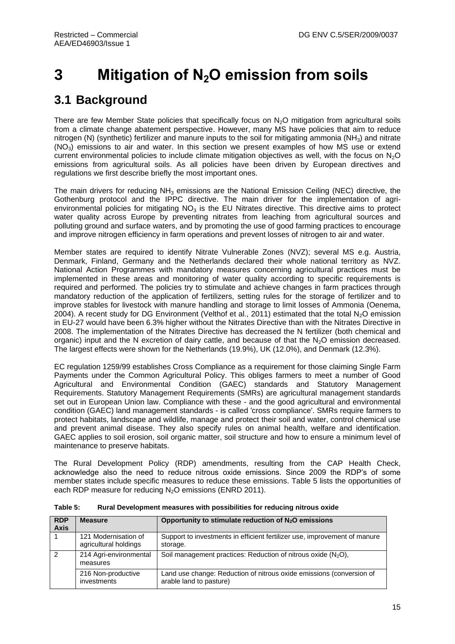# <span id="page-20-0"></span>**3 Mitigation of N2O emission from soils**

## <span id="page-20-1"></span>**3.1 Background**

There are few Member State policies that specifically focus on  $N<sub>2</sub>O$  mitigation from agricultural soils from a climate change abatement perspective. However, many MS have policies that aim to reduce nitrogen (N) (synthetic) fertilizer and manure inputs to the soil for mitigating ammonia (NH<sub>3</sub>) and nitrate  $(NO<sub>3</sub>)$  emissions to air and water. In this section we present examples of how MS use or extend current environmental policies to include climate mitigation objectives as well, with the focus on  $N_2O$ emissions from agricultural soils. As all policies have been driven by European directives and regulations we first describe briefly the most important ones.

The main drivers for reducing  $NH<sub>3</sub>$  emissions are the National Emission Ceiling (NEC) directive, the Gothenburg protocol and the IPPC directive. The main driver for the implementation of agrienvironmental policies for mitigating  $NO<sub>3</sub>$  is the EU Nitrates directive. This directive aims to protect water quality across Europe by preventing nitrates from leaching from agricultural sources and polluting ground and surface waters, and by promoting the use of good farming practices to encourage and improve nitrogen efficiency in farm operations and prevent losses of nitrogen to air and water.

Member states are required to identify Nitrate Vulnerable Zones (NVZ); several MS e.g. Austria, Denmark, Finland, Germany and the Netherlands declared their whole national territory as NVZ. National Action Programmes with mandatory measures concerning agricultural practices must be implemented in these areas and monitoring of water quality according to specific requirements is required and performed. The policies try to stimulate and achieve changes in farm practices through mandatory reduction of the application of fertilizers, setting rules for the storage of fertilizer and to improve stables for livestock with manure handling and storage to limit losses of Ammonia (Oenema, 2004). A recent study for DG Environment (Velthof et al., 2011) estimated that the total N<sub>2</sub>O emission in EU-27 would have been 6.3% higher without the Nitrates Directive than with the Nitrates Directive in 2008. The implementation of the Nitrates Directive has decreased the N fertilizer (both chemical and organic) input and the N excretion of dairy cattle, and because of that the  $N<sub>2</sub>O$  emission decreased. The largest effects were shown for the Netherlands (19.9%), UK (12.0%), and Denmark (12.3%).

EC regulation 1259/99 establishes Cross Compliance as a requirement for those claiming Single Farm Payments under the Common Agricultural Policy. This obliges farmers to meet a number of Good Agricultural and Environmental Condition (GAEC) standards and Statutory Management Requirements. Statutory Management Requirements (SMRs) are agricultural management standards set out in European Union law. Compliance with these - and the good agricultural and environmental condition (GAEC) land management standards - is called 'cross compliance'. SMRs require farmers to protect habitats, landscape and wildlife, manage and protect their soil and water, control chemical use and prevent animal disease. They also specify rules on animal health, welfare and identification. GAEC applies to soil erosion, soil organic matter, soil structure and how to ensure a minimum level of maintenance to preserve habitats.

The Rural Development Policy (RDP) amendments, resulting from the CAP Health Check, acknowledge also the need to reduce nitrous oxide emissions. Since 2009 the RDP's of some member states include specific measures to reduce these emissions. [Table 5](#page-20-2) lists the opportunities of each RDP measure for reducing N<sub>2</sub>O emissions (ENRD 2011).

| <b>RDP</b><br><b>Axis</b> | <b>Measure</b>                                | Opportunity to stimulate reduction of $N_2O$ emissions                                          |
|---------------------------|-----------------------------------------------|-------------------------------------------------------------------------------------------------|
|                           | 121 Modernisation of<br>agricultural holdings | Support to investments in efficient fertilizer use, improvement of manure<br>storage.           |
| $\overline{2}$            | 214 Agri-environmental<br>measures            | Soil management practices: Reduction of nitrous oxide $(N_2O)$ ,                                |
|                           | 216 Non-productive<br>investments             | Land use change: Reduction of nitrous oxide emissions (conversion of<br>arable land to pasture) |

<span id="page-20-2"></span>**Table 5: Rural Development measures with possibilities for reducing nitrous oxide**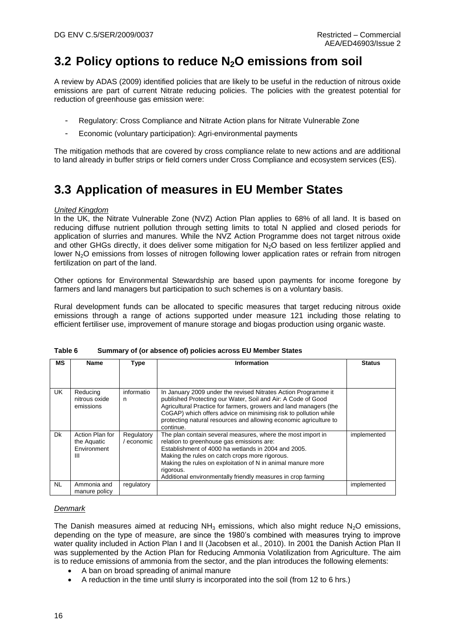## <span id="page-21-0"></span>**3.2 Policy options to reduce N2O emissions from soil**

A review by ADAS (2009) identified policies that are likely to be useful in the reduction of nitrous oxide emissions are part of current Nitrate reducing policies. The policies with the greatest potential for reduction of greenhouse gas emission were:

- Regulatory: Cross Compliance and Nitrate Action plans for Nitrate Vulnerable Zone
- Economic (voluntary participation): Agri-environmental payments

The mitigation methods that are covered by cross compliance relate to new actions and are additional to land already in buffer strips or field corners under Cross Compliance and ecosystem services (ES).

## <span id="page-21-1"></span>**3.3 Application of measures in EU Member States**

#### *United Kingdom*

In the UK, the Nitrate Vulnerable Zone (NVZ) Action Plan applies to 68% of all land. It is based on reducing diffuse nutrient pollution through setting limits to total N applied and closed periods for application of slurries and manures. While the NVZ Action Programme does not target nitrous oxide and other GHGs directly, it does deliver some mitigation for N<sub>2</sub>O based on less fertilizer applied and lower N<sub>2</sub>O emissions from losses of nitrogen following lower application rates or refrain from nitrogen fertilization on part of the land.

Other options for Environmental Stewardship are based upon payments for income foregone by farmers and land managers but participation to such schemes is on a voluntary basis.

Rural development funds can be allocated to specific measures that target reducing nitrous oxide emissions through a range of actions supported under measure 121 including those relating to efficient fertiliser use, improvement of manure storage and biogas production using organic waste.

| <b>MS</b> | <b>Name</b>                                        | Type                     | Information                                                                                                                                                                                                                                                                                                                                                   | <b>Status</b> |
|-----------|----------------------------------------------------|--------------------------|---------------------------------------------------------------------------------------------------------------------------------------------------------------------------------------------------------------------------------------------------------------------------------------------------------------------------------------------------------------|---------------|
|           |                                                    |                          |                                                                                                                                                                                                                                                                                                                                                               |               |
| UK.       | Reducing<br>nitrous oxide<br>emissions             | informatio<br>n          | In January 2009 under the revised Nitrates Action Programme it<br>published Protecting our Water, Soil and Air: A Code of Good<br>Agricultural Practice for farmers, growers and land managers (the<br>CoGAP) which offers advice on minimising risk to pollution while<br>protecting natural resources and allowing economic agriculture to<br>continue.     |               |
| Dk        | Action Plan for<br>the Aquatic<br>Environment<br>Ш | Regulatory<br>/ economic | The plan contain several measures, where the most import in<br>relation to greenhouse gas emissions are:<br>Establishment of 4000 ha wetlands in 2004 and 2005.<br>Making the rules on catch crops more rigorous.<br>Making the rules on exploitation of N in animal manure more<br>rigorous.<br>Additional environmentally friendly measures in crop farming | implemented   |
| <b>NL</b> | Ammonia and<br>manure policy                       | regulatory               |                                                                                                                                                                                                                                                                                                                                                               | implemented   |

|  | Table 6 | Summary of (or absence of) policies across EU Member States |  |  |  |
|--|---------|-------------------------------------------------------------|--|--|--|
|--|---------|-------------------------------------------------------------|--|--|--|

#### *Denmark*

The Danish measures aimed at reducing  $NH<sub>3</sub>$  emissions, which also might reduce  $N<sub>2</sub>O$  emissions, depending on the type of measure, are since the 1980's combined with measures trying to improve water quality included in Action Plan I and II (Jacobsen et al., 2010). In 2001 the Danish Action Plan II was supplemented by the Action Plan for Reducing Ammonia Volatilization from Agriculture. The aim is to reduce emissions of ammonia from the sector, and the plan introduces the following elements:

- A ban on broad spreading of animal manure
- A reduction in the time until slurry is incorporated into the soil (from 12 to 6 hrs.)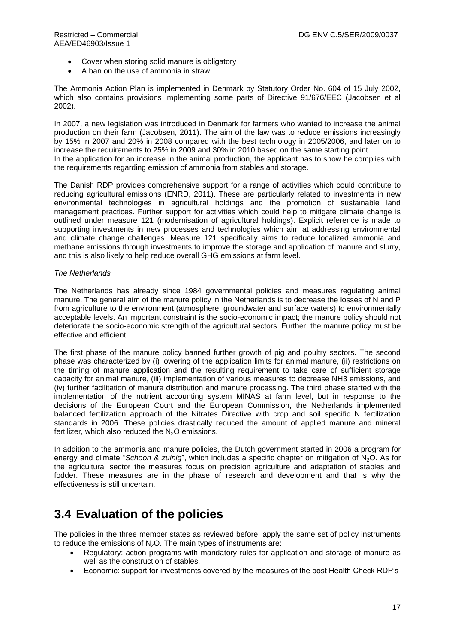- Cover when storing solid manure is obligatory
- A ban on the use of ammonia in straw

The Ammonia Action Plan is implemented in Denmark by Statutory Order No. 604 of 15 July 2002, which also contains provisions implementing some parts of Directive 91/676/EEC (Jacobsen et al 2002).

In 2007, a new legislation was introduced in Denmark for farmers who wanted to increase the animal production on their farm (Jacobsen, 2011). The aim of the law was to reduce emissions increasingly by 15% in 2007 and 20% in 2008 compared with the best technology in 2005/2006, and later on to increase the requirements to 25% in 2009 and 30% in 2010 based on the same starting point. In the application for an increase in the animal production, the applicant has to show he complies with the requirements regarding emission of ammonia from stables and storage.

The Danish RDP provides comprehensive support for a range of activities which could contribute to reducing agricultural emissions (ENRD, 2011). These are particularly related to investments in new environmental technologies in agricultural holdings and the promotion of sustainable land management practices. Further support for activities which could help to mitigate climate change is outlined under measure 121 (modernisation of agricultural holdings). Explicit reference is made to supporting investments in new processes and technologies which aim at addressing environmental and climate change challenges. Measure 121 specifically aims to reduce localized ammonia and methane emissions through investments to improve the storage and application of manure and slurry, and this is also likely to help reduce overall GHG emissions at farm level.

#### *The Netherlands*

The Netherlands has already since 1984 governmental policies and measures regulating animal manure. The general aim of the manure policy in the Netherlands is to decrease the losses of N and P from agriculture to the environment (atmosphere, groundwater and surface waters) to environmentally acceptable levels. An important constraint is the socio-economic impact; the manure policy should not deteriorate the socio-economic strength of the agricultural sectors. Further, the manure policy must be effective and efficient.

The first phase of the manure policy banned further growth of pig and poultry sectors. The second phase was characterized by (i) lowering of the application limits for animal manure, (ii) restrictions on the timing of manure application and the resulting requirement to take care of sufficient storage capacity for animal manure, (iii) implementation of various measures to decrease NH3 emissions, and (iv) further facilitation of manure distribution and manure processing. The third phase started with the implementation of the nutrient accounting system MINAS at farm level, but in response to the decisions of the European Court and the European Commission, the Netherlands implemented balanced fertilization approach of the Nitrates Directive with crop and soil specific N fertilization standards in 2006. These policies drastically reduced the amount of applied manure and mineral fertilizer, which also reduced the  $N_2O$  emissions.

In addition to the ammonia and manure policies, the Dutch government started in 2006 a program for energy and climate "*Schoon & zuinig*", which includes a specific chapter on mitigation of N2O. As for the agricultural sector the measures focus on precision agriculture and adaptation of stables and fodder. These measures are in the phase of research and development and that is why the effectiveness is still uncertain.

### <span id="page-22-0"></span>**3.4 Evaluation of the policies**

The policies in the three member states as reviewed before, apply the same set of policy instruments to reduce the emissions of  $N<sub>2</sub>O$ . The main types of instruments are:

- Regulatory: action programs with mandatory rules for application and storage of manure as well as the construction of stables.
- Economic: support for investments covered by the measures of the post Health Check RDP's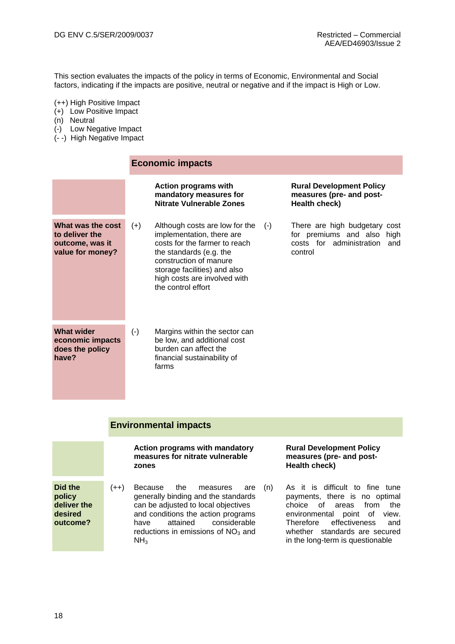This section evaluates the impacts of the policy in terms of Economic, Environmental and Social factors, indicating if the impacts are positive, neutral or negative and if the impact is High or Low.

- (++) High Positive Impact
- (+) Low Positive Impact
- (n) Neutral
- (-) Low Negative Impact
- (- -) High Negative Impact

#### **Economic impacts**

|                                                                            |           | Action programs with<br>mandatory measures for<br>Nitrate Vulnerable Zones                                                                                                                                                                       | <b>Rural Development Policy</b><br>measures (pre- and post-<br>Health check)                           |
|----------------------------------------------------------------------------|-----------|--------------------------------------------------------------------------------------------------------------------------------------------------------------------------------------------------------------------------------------------------|--------------------------------------------------------------------------------------------------------|
| What was the cost<br>to deliver the<br>outcome, was it<br>value for money? | $(+)$     | Although costs are low for the<br>$(-)$<br>implementation, there are<br>costs for the farmer to reach<br>the standards (e.g. the<br>construction of manure<br>storage facilities) and also<br>high costs are involved with<br>the control effort | There are high budgetary cost<br>for premiums and also high<br>costs for administration and<br>control |
| <b>What wider</b><br>economic impacts<br>does the policy<br>have?          | $(\cdot)$ | Margins within the sector can<br>be low, and additional cost<br>burden can affect the<br>financial sustainability of<br>farms                                                                                                                    |                                                                                                        |

#### **Environmental impacts**

|                                                         |        | Action programs with mandatory<br>measures for nitrate vulnerable<br>zones                                                                                                                                                                  |     |  |  |  |
|---------------------------------------------------------|--------|---------------------------------------------------------------------------------------------------------------------------------------------------------------------------------------------------------------------------------------------|-----|--|--|--|
| Did the<br>policy<br>deliver the<br>desired<br>outcome? | $(++)$ | Because the measures<br>are<br>generally binding and the standards<br>can be adjusted to local objectives<br>and conditions the action programs<br>attained considerable<br>have<br>reductions in emissions of $NO3$ and<br>NH <sub>3</sub> | (n) |  |  |  |

#### **Rural Development Policy measures (pre- and post-Health check)**

As it is difficult to fine tune payments, there is no optimal choice of areas from the environmental point of view. Therefore effectiveness and whether standards are secured in the long-term is questionable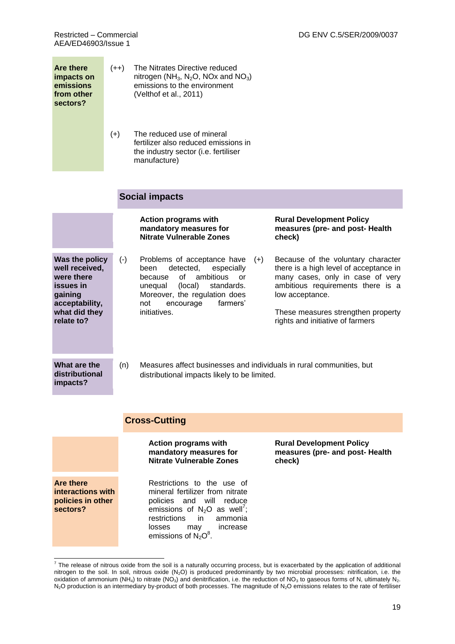AEA/ED46903/Issue 1

| <b>Are there</b><br>impacts on<br>emissions<br>from other<br>sectors?                                                   | $(++)$ |                                                                                                                             | The Nitrates Directive reduced<br>nitrogen (NH <sub>3</sub> , N <sub>2</sub> O, NO <sub>x</sub> and NO <sub>3</sub> )<br>emissions to the environment<br>(Velthof et al., 2011)                                                         |                                                                                                                                                                                                                                                    |  |  |  |  |
|-------------------------------------------------------------------------------------------------------------------------|--------|-----------------------------------------------------------------------------------------------------------------------------|-----------------------------------------------------------------------------------------------------------------------------------------------------------------------------------------------------------------------------------------|----------------------------------------------------------------------------------------------------------------------------------------------------------------------------------------------------------------------------------------------------|--|--|--|--|
|                                                                                                                         | $(+)$  |                                                                                                                             | The reduced use of mineral<br>fertilizer also reduced emissions in<br>the industry sector (i.e. fertiliser<br>manufacture)                                                                                                              |                                                                                                                                                                                                                                                    |  |  |  |  |
|                                                                                                                         |        | <b>Social impacts</b>                                                                                                       |                                                                                                                                                                                                                                         |                                                                                                                                                                                                                                                    |  |  |  |  |
|                                                                                                                         |        |                                                                                                                             | <b>Action programs with</b><br>mandatory measures for<br><b>Nitrate Vulnerable Zones</b>                                                                                                                                                | <b>Rural Development Policy</b><br>measures (pre- and post- Health<br>check)                                                                                                                                                                       |  |  |  |  |
| Was the policy<br>well received,<br>were there<br>issues in<br>gaining<br>acceptability,<br>what did they<br>relate to? |        | $(\cdot)$                                                                                                                   | Problems of acceptance have<br>$(+)$<br>detected,<br>especially<br>been<br>0f<br>ambitious<br>because<br><b>or</b><br>(local)<br>unequal<br>standards.<br>Moreover, the regulation does<br>farmers'<br>encourage<br>not<br>initiatives. | Because of the voluntary character<br>there is a high level of acceptance in<br>many cases, only in case of very<br>ambitious requirements there is a<br>low acceptance.<br>These measures strengthen property<br>rights and initiative of farmers |  |  |  |  |
| What are the<br>distributional<br>impacts?                                                                              |        | Measures affect businesses and individuals in rural communities, but<br>(n)<br>distributional impacts likely to be limited. |                                                                                                                                                                                                                                         |                                                                                                                                                                                                                                                    |  |  |  |  |
| <b>Cross-Cutting</b>                                                                                                    |        |                                                                                                                             |                                                                                                                                                                                                                                         |                                                                                                                                                                                                                                                    |  |  |  |  |
|                                                                                                                         |        |                                                                                                                             | <b>Action programs with</b><br>mandatory measures for<br><b>Nitrate Vulnerable Zones</b>                                                                                                                                                | <b>Rural Development Policy</b><br>measures (pre- and post- Health<br>check)                                                                                                                                                                       |  |  |  |  |
| <b>Are there</b><br>interactions with<br>policies in other<br>sectors?                                                  |        |                                                                                                                             | Restrictions to the use of<br>mineral fertilizer from nitrate<br>reduce<br>policies and will<br>emissions of $N_2O$ as well <sup>7</sup> ;<br>restrictions<br>in<br>ammonia<br>losses<br>may<br>increase<br>emissions of $N_2O^8$ .     |                                                                                                                                                                                                                                                    |  |  |  |  |

The release of nitrous oxide from the soil is a naturally occurring process, but is exacerbated by the application of additional nitrogen to the soil. In soil, nitrous oxide  $(N_2O)$  is produced predominantly by two microbial processes: nitrification, i.e. the oxidation of ammonium (NH<sub>4</sub>) to nitrate (NO<sub>3</sub>) and denitrification, i.e. the reduction of NO<sub>3</sub> to gaseous forms of N, ultimately N<sub>2</sub>.  $N_2$ O production is an intermediary by-product of both processes. The magnitude of  $N_2$ O emissions relates to the rate of fertiliser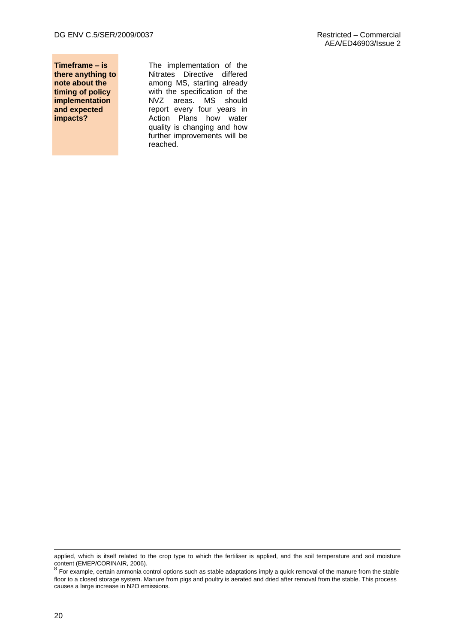**Timeframe – is there anything to note about the timing of policy implementation and expected impacts?**

The implementation of the Nitrates Directive differed among MS, starting already with the specification of the NVZ areas. MS should report every four years in Action Plans how water quality is changing and how further improvements will be reached.

1

applied, which is itself related to the crop type to which the fertiliser is applied, and the soil temperature and soil moisture content (EMEP/CORINAIR, 2006).<br><sup>8</sup> For example, certain ammonia control options such as stable adaptations imply a quick removal of the manure from the stable

floor to a closed storage system. Manure from pigs and poultry is aerated and dried after removal from the stable. This process causes a large increase in N2O emissions.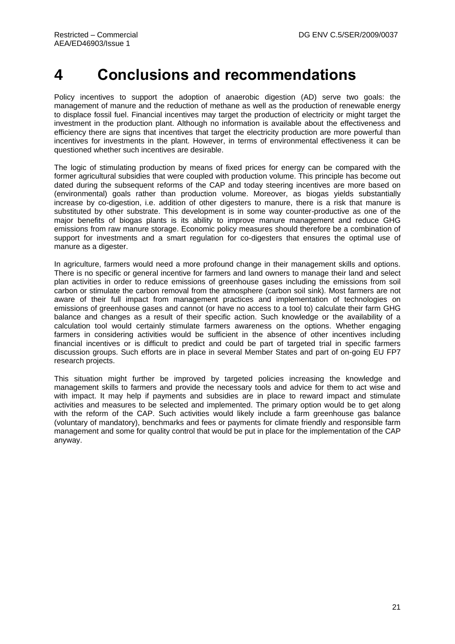# <span id="page-26-0"></span>**4 Conclusions and recommendations**

Policy incentives to support the adoption of anaerobic digestion (AD) serve two goals: the management of manure and the reduction of methane as well as the production of renewable energy to displace fossil fuel. Financial incentives may target the production of electricity or might target the investment in the production plant. Although no information is available about the effectiveness and efficiency there are signs that incentives that target the electricity production are more powerful than incentives for investments in the plant. However, in terms of environmental effectiveness it can be questioned whether such incentives are desirable.

The logic of stimulating production by means of fixed prices for energy can be compared with the former agricultural subsidies that were coupled with production volume. This principle has become out dated during the subsequent reforms of the CAP and today steering incentives are more based on (environmental) goals rather than production volume. Moreover, as biogas yields substantially increase by co-digestion, i.e. addition of other digesters to manure, there is a risk that manure is substituted by other substrate. This development is in some way counter-productive as one of the major benefits of biogas plants is its ability to improve manure management and reduce GHG emissions from raw manure storage. Economic policy measures should therefore be a combination of support for investments and a smart regulation for co-digesters that ensures the optimal use of manure as a digester.

In agriculture, farmers would need a more profound change in their management skills and options. There is no specific or general incentive for farmers and land owners to manage their land and select plan activities in order to reduce emissions of greenhouse gases including the emissions from soil carbon or stimulate the carbon removal from the atmosphere (carbon soil sink). Most farmers are not aware of their full impact from management practices and implementation of technologies on emissions of greenhouse gases and cannot (or have no access to a tool to) calculate their farm GHG balance and changes as a result of their specific action. Such knowledge or the availability of a calculation tool would certainly stimulate farmers awareness on the options. Whether engaging farmers in considering activities would be sufficient in the absence of other incentives including financial incentives or is difficult to predict and could be part of targeted trial in specific farmers discussion groups. Such efforts are in place in several Member States and part of on-going EU FP7 research projects.

This situation might further be improved by targeted policies increasing the knowledge and management skills to farmers and provide the necessary tools and advice for them to act wise and with impact. It may help if payments and subsidies are in place to reward impact and stimulate activities and measures to be selected and implemented. The primary option would be to get along with the reform of the CAP. Such activities would likely include a farm greenhouse gas balance (voluntary of mandatory), benchmarks and fees or payments for climate friendly and responsible farm management and some for quality control that would be put in place for the implementation of the CAP anyway.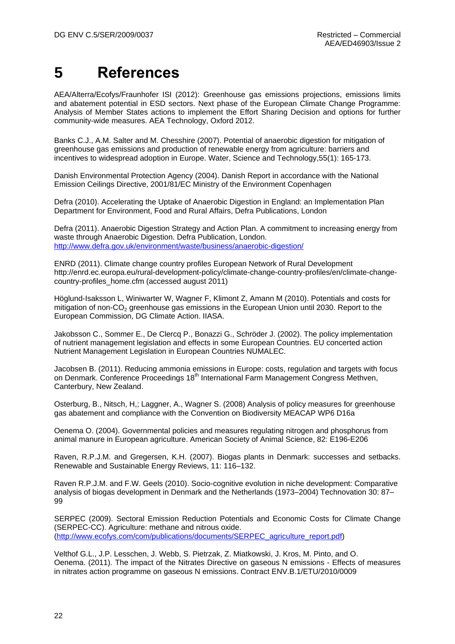# <span id="page-27-0"></span>**5 References**

AEA/Alterra/Ecofys/Fraunhofer ISI (2012): Greenhouse gas emissions projections, emissions limits and abatement potential in ESD sectors. Next phase of the European Climate Change Programme: Analysis of Member States actions to implement the Effort Sharing Decision and options for further community-wide measures. AEA Technology, Oxford 2012.

Banks C.J., A.M. Salter and M. Chesshire (2007). Potential of anaerobic digestion for mitigation of greenhouse gas emissions and production of renewable energy from agriculture: barriers and incentives to widespread adoption in Europe. Water, Science and Technology,55(1): 165-173.

Danish Environmental Protection Agency (2004). Danish Report in accordance with the National Emission Ceilings Directive, 2001/81/EC Ministry of the Environment Copenhagen

Defra (2010). Accelerating the Uptake of Anaerobic Digestion in England: an Implementation Plan Department for Environment, Food and Rural Affairs, Defra Publications, London

Defra (2011). Anaerobic Digestion Strategy and Action Plan. A commitment to increasing energy from waste through Anaerobic Digestion. Defra Publication, London. <http://www.defra.gov.uk/environment/waste/business/anaerobic-digestion/>

ENRD (2011). Climate change country profiles European Network of Rural Development http://enrd.ec.europa.eu/rural-development-policy/climate-change-country-profiles/en/climate-changecountry-profiles\_home.cfm (accessed august 2011)

Höglund-Isaksson L, Winiwarter W, Wagner F, Klimont Z, Amann M (2010). Potentials and costs for mitigation of non- $CO<sub>2</sub>$  greenhouse gas emissions in the European Union until 2030. Report to the European Commission, DG Climate Action. IIASA.

Jakobsson C., Sommer E., De Clercq P., Bonazzi G., Schröder J. (2002). The policy implementation of nutrient management legislation and effects in some European Countries. EU concerted action Nutrient Management Legislation in European Countries NUMALEC.

Jacobsen B. (2011). Reducing ammonia emissions in Europe: costs, regulation and targets with focus on Denmark. Conference Proceedings 18<sup>th</sup> International Farm Management Congress Methven, Canterbury, New Zealand.

Osterburg, B., Nitsch, H,; Laggner, A., Wagner S. (2008) Analysis of policy measures for greenhouse gas abatement and compliance with the Convention on Biodiversity MEACAP WP6 D16a

Oenema O. (2004). Governmental policies and measures regulating nitrogen and phosphorus from animal manure in European agriculture. American Society of Animal Science, 82: E196-E206

Raven, R.P.J.M. and Gregersen, K.H. (2007). Biogas plants in Denmark: successes and setbacks. Renewable and Sustainable Energy Reviews, 11: 116–132.

Raven R.P.J.M. and F.W. Geels (2010). Socio-cognitive evolution in niche development: Comparative analysis of biogas development in Denmark and the Netherlands (1973–2004) Technovation 30: 87– 99

SERPEC (2009). Sectoral Emission Reduction Potentials and Economic Costs for Climate Change (SERPEC-CC). Agriculture: methane and nitrous oxide. [\(http://www.ecofys.com/com/publications/documents/SERPEC\\_agriculture\\_report.pdf\)](http://www.ecofys.com/com/publications/documents/SERPEC_agriculture_report.pdf)

Velthof G.L., J.P. Lesschen, J. Webb, S. Pietrzak, Z. Miatkowski, J. Kros, M. Pinto, and O. Oenema. (2011). The impact of the Nitrates Directive on gaseous N emissions - Effects of measures in nitrates action programme on gaseous N emissions. Contract ENV.B.1/ETU/2010/0009